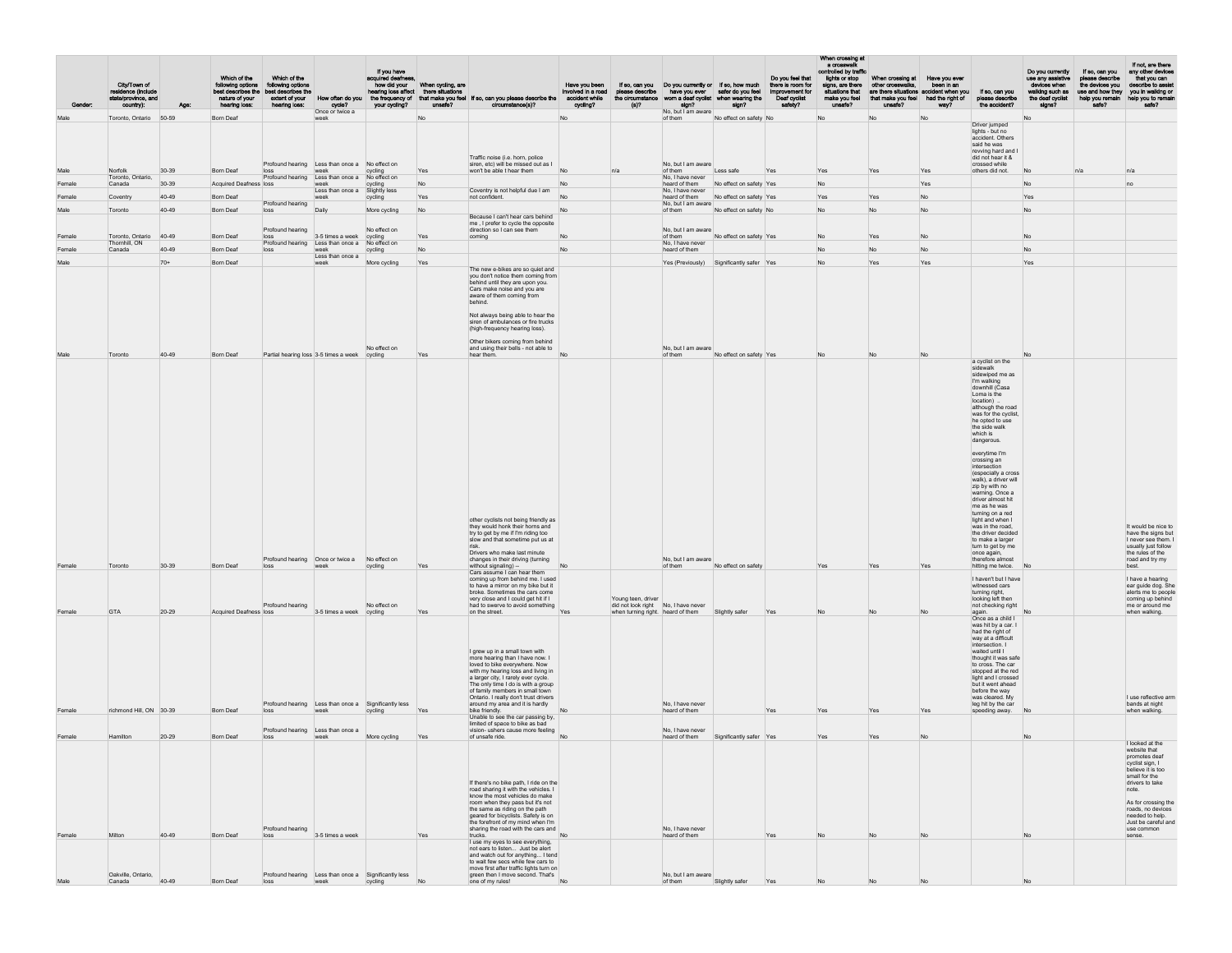| Gender           | City/Town of<br>residence (include<br>state/province, and<br>country): | Age:           | Which of the<br>following options<br>nature of your<br>hearing loss: | Which of the<br>following options<br>best describes the best describes the<br>extent of your<br>hearing loss: | How often do you<br>cycle?<br>Once or twice a                     | If you have<br>acquired deafness,<br>hearing loss affect there situations<br>your cycling? | how did your When cycling, are<br>unsafe? | the frequency of that make you feel If so, can you please describe the accident while<br>circumstance(s)?                                                                                                                                                                                                                                                                                                                                                                                                                                                             | Have you been<br>involved in a road<br>cycling? | please describe<br>the circumstance<br>(s)?                                                    | If so, can you Do you currently or If so, how much<br>have you ever<br>sign?<br>No, but I am aware | safer do you feel<br>worn a deaf cyclist when wearing the<br>sign? | Do you feel that<br>there is room for<br>improvement for<br>Deaf cyclist<br>safety? | When crossing at<br>a crosswal<br>controlled by traffic<br>lights or stop<br>signs, are there<br>situations that<br>make you feel<br>unsafe? | When crossing at Have you ever<br>other crosswalks,<br>that make you feel had the right of<br>unsafe? | been in an<br>are there situations accident when you<br>way? | If so, can you<br>please describe<br>the accident?                                                                                                                                                                                                                                                                                                                                                                                                                                                                                                                                                                                                                                                                                                                                                                                                      | Do you currently<br>use any assistive<br>devices when<br>walking such as<br>the deaf cyclist<br>signs? | If so, can you<br>please describe<br>the devices you<br>use and how they<br>help you remain<br>safe? | If not, are there<br>any other devices<br>that you can<br>describe to assist<br>you in walking or<br>help you to remain<br>safe?                                                                                                                                 |
|------------------|------------------------------------------------------------------------|----------------|----------------------------------------------------------------------|---------------------------------------------------------------------------------------------------------------|-------------------------------------------------------------------|--------------------------------------------------------------------------------------------|-------------------------------------------|-----------------------------------------------------------------------------------------------------------------------------------------------------------------------------------------------------------------------------------------------------------------------------------------------------------------------------------------------------------------------------------------------------------------------------------------------------------------------------------------------------------------------------------------------------------------------|-------------------------------------------------|------------------------------------------------------------------------------------------------|----------------------------------------------------------------------------------------------------|--------------------------------------------------------------------|-------------------------------------------------------------------------------------|----------------------------------------------------------------------------------------------------------------------------------------------|-------------------------------------------------------------------------------------------------------|--------------------------------------------------------------|---------------------------------------------------------------------------------------------------------------------------------------------------------------------------------------------------------------------------------------------------------------------------------------------------------------------------------------------------------------------------------------------------------------------------------------------------------------------------------------------------------------------------------------------------------------------------------------------------------------------------------------------------------------------------------------------------------------------------------------------------------------------------------------------------------------------------------------------------------|--------------------------------------------------------------------------------------------------------|------------------------------------------------------------------------------------------------------|------------------------------------------------------------------------------------------------------------------------------------------------------------------------------------------------------------------------------------------------------------------|
| Male             | Toronto, Ontario 50-59                                                 |                | <b>Born Deaf</b>                                                     |                                                                                                               | week                                                              |                                                                                            | No                                        |                                                                                                                                                                                                                                                                                                                                                                                                                                                                                                                                                                       | No                                              |                                                                                                | of them                                                                                            | No effect on safety No                                             |                                                                                     | No                                                                                                                                           | No                                                                                                    | No                                                           | Driver jumped<br>lights - but no<br>accident. Others<br>said he was<br>revving hard and I                                                                                                                                                                                                                                                                                                                                                                                                                                                                                                                                                                                                                                                                                                                                                               | No                                                                                                     |                                                                                                      |                                                                                                                                                                                                                                                                  |
|                  |                                                                        |                |                                                                      |                                                                                                               | Profound hearing Less than once a No effect on                    |                                                                                            |                                           | Traffic noise (i.e. horn, police<br>siren, etc) will be missed out as I                                                                                                                                                                                                                                                                                                                                                                                                                                                                                               |                                                 |                                                                                                | No, but I am aware                                                                                 |                                                                    |                                                                                     |                                                                                                                                              |                                                                                                       |                                                              | did not hear it &<br>crossed while                                                                                                                                                                                                                                                                                                                                                                                                                                                                                                                                                                                                                                                                                                                                                                                                                      |                                                                                                        |                                                                                                      |                                                                                                                                                                                                                                                                  |
| Male             | Norfolk<br>Toronto, Ontario,                                           | $30 - 39$      | <b>Born Deaf</b>                                                     | loss<br>Profound hearing Less than once a                                                                     | week                                                              | cycling<br>No effect on                                                                    | Yes                                       | won't be able t hear them                                                                                                                                                                                                                                                                                                                                                                                                                                                                                                                                             | No                                              |                                                                                                | of them<br>No. I have never                                                                        | Less safe                                                          |                                                                                     | Yes                                                                                                                                          | Yes                                                                                                   | Yes                                                          | others did not.                                                                                                                                                                                                                                                                                                                                                                                                                                                                                                                                                                                                                                                                                                                                                                                                                                         | No                                                                                                     |                                                                                                      |                                                                                                                                                                                                                                                                  |
| Female           | Canada                                                                 | 30-39          | <b>Acquired Deafness loss</b>                                        |                                                                                                               | week<br>Less than once a                                          | cycling<br>Slightly less                                                                   | No                                        | Coventry is not helpful due I am                                                                                                                                                                                                                                                                                                                                                                                                                                                                                                                                      | No                                              |                                                                                                | heard of them<br>No, I have never                                                                  | No effect on safety Yes                                            |                                                                                     | No                                                                                                                                           |                                                                                                       | Yes                                                          |                                                                                                                                                                                                                                                                                                                                                                                                                                                                                                                                                                                                                                                                                                                                                                                                                                                         | No                                                                                                     |                                                                                                      |                                                                                                                                                                                                                                                                  |
| Female           | Coventry                                                               | 40-49          | Born Deaf                                                            | Profound hearing                                                                                              | week                                                              | cycling                                                                                    | Yes                                       | not confident.                                                                                                                                                                                                                                                                                                                                                                                                                                                                                                                                                        | No                                              |                                                                                                | heard of them<br>No, but I am aware                                                                | No effect on safety Yes                                            |                                                                                     |                                                                                                                                              | Yes                                                                                                   | No                                                           |                                                                                                                                                                                                                                                                                                                                                                                                                                                                                                                                                                                                                                                                                                                                                                                                                                                         | Yes                                                                                                    |                                                                                                      |                                                                                                                                                                                                                                                                  |
| Male             | Toronto                                                                | 40-49          | <b>Born Deaf</b>                                                     | loss                                                                                                          | Daily                                                             | More cycling                                                                               | No                                        | Because I can't hear cars behind                                                                                                                                                                                                                                                                                                                                                                                                                                                                                                                                      | No                                              |                                                                                                | of them                                                                                            | No effect on safety No                                             |                                                                                     | No                                                                                                                                           | No                                                                                                    | N <sub>o</sub>                                               |                                                                                                                                                                                                                                                                                                                                                                                                                                                                                                                                                                                                                                                                                                                                                                                                                                                         | No                                                                                                     |                                                                                                      |                                                                                                                                                                                                                                                                  |
|                  |                                                                        |                |                                                                      | Profound hearing                                                                                              |                                                                   | No effect on                                                                               |                                           | me, I prefer to cycle the opposite<br>direction so I can see them                                                                                                                                                                                                                                                                                                                                                                                                                                                                                                     |                                                 |                                                                                                | No, but I am aware                                                                                 |                                                                    |                                                                                     |                                                                                                                                              |                                                                                                       |                                                              |                                                                                                                                                                                                                                                                                                                                                                                                                                                                                                                                                                                                                                                                                                                                                                                                                                                         |                                                                                                        |                                                                                                      |                                                                                                                                                                                                                                                                  |
| Female           | Toronto, Ontario<br>Thornhill, ON                                      | 40-49          | Born Deaf                                                            | loss<br>Profound hearing Less than once a                                                                     | 3-5 times a week                                                  | cycling<br>No effect on                                                                    | Yes                                       | coming                                                                                                                                                                                                                                                                                                                                                                                                                                                                                                                                                                |                                                 |                                                                                                | of them<br>No, I have never                                                                        | No effect on safety Yes                                            |                                                                                     | No                                                                                                                                           | Yes                                                                                                   | No                                                           |                                                                                                                                                                                                                                                                                                                                                                                                                                                                                                                                                                                                                                                                                                                                                                                                                                                         |                                                                                                        |                                                                                                      |                                                                                                                                                                                                                                                                  |
| Female           | Canada                                                                 | 40-49          | <b>Born Deaf</b>                                                     | loss                                                                                                          | week<br>Less than once a                                          | cycling                                                                                    | No.                                       |                                                                                                                                                                                                                                                                                                                                                                                                                                                                                                                                                                       | No                                              |                                                                                                | heard of them                                                                                      |                                                                    |                                                                                     | No                                                                                                                                           | No                                                                                                    | N <sub>o</sub>                                               |                                                                                                                                                                                                                                                                                                                                                                                                                                                                                                                                                                                                                                                                                                                                                                                                                                                         | No                                                                                                     |                                                                                                      |                                                                                                                                                                                                                                                                  |
| Male             |                                                                        | $70+$          | <b>Born Deaf</b>                                                     |                                                                                                               | week                                                              | More cycling                                                                               | Yes                                       | The new e-bikes are so quiet and                                                                                                                                                                                                                                                                                                                                                                                                                                                                                                                                      |                                                 |                                                                                                |                                                                                                    | Yes (Previously) Significantly safer Yes                           |                                                                                     | No                                                                                                                                           | Yes                                                                                                   | Yes                                                          |                                                                                                                                                                                                                                                                                                                                                                                                                                                                                                                                                                                                                                                                                                                                                                                                                                                         | Yes                                                                                                    |                                                                                                      |                                                                                                                                                                                                                                                                  |
|                  |                                                                        |                |                                                                      |                                                                                                               |                                                                   |                                                                                            |                                           | you don't notice them coming from<br>behind until they are upon you.<br>Cars make noise and you are<br>aware of them coming from<br>behind.<br>Not always being able to hear the<br>siren of ambulances or fire trucks                                                                                                                                                                                                                                                                                                                                                |                                                 |                                                                                                |                                                                                                    |                                                                    |                                                                                     |                                                                                                                                              |                                                                                                       |                                                              |                                                                                                                                                                                                                                                                                                                                                                                                                                                                                                                                                                                                                                                                                                                                                                                                                                                         |                                                                                                        |                                                                                                      |                                                                                                                                                                                                                                                                  |
| Male             | Toronto                                                                | 40-49          | <b>Born Deaf</b>                                                     | Partial hearing loss 3-5 times a week cycling                                                                 |                                                                   | No effect on                                                                               | Yes                                       | (high-frequency hearing loss).<br>Other bikers coming from behind<br>and using their bells - not able to<br>hear them.                                                                                                                                                                                                                                                                                                                                                                                                                                                | No                                              |                                                                                                | No, but I am aware<br>of them                                                                      | No effect on safety Yes                                            |                                                                                     |                                                                                                                                              |                                                                                                       |                                                              |                                                                                                                                                                                                                                                                                                                                                                                                                                                                                                                                                                                                                                                                                                                                                                                                                                                         |                                                                                                        |                                                                                                      |                                                                                                                                                                                                                                                                  |
| Female<br>Female | Toronto<br><b>GTA</b>                                                  | 30-39<br>20-29 | <b>Born Deaf</b><br>Acquired Deafness loss                           | loss<br>Profound hearing                                                                                      | Profound hearing Once or twice a No effect on<br>3-5 times a week | cycling<br>No effect on<br>cycling                                                         | Yes<br>Yes                                | other cyclists not being friendly as<br>they would honk their horns and<br>try to get by me if I'm riding too<br>slow and that sometime put us at<br>risk.<br>Drivers who make last minute<br>changes in their driving (turning<br>without signaling) --<br>Cars assume I can hear them<br>coming up from behind me. I used<br>to have a mirror on my bike but it<br>broke. Sometimes the cars come<br>very close and I could get hit if I<br>had to swerve to avoid something<br>on the street.<br>I grew up in a small town with<br>more hearing than I have now. I | No<br>Yes                                       | Young teen, driver<br>did not look right No, I have never<br>when turning right. heard of them | No, but I am aware<br>of them                                                                      | No effect on safety<br>Slightly safer                              | Yes                                                                                 | Yes                                                                                                                                          | Yes                                                                                                   | Yes                                                          | a cyclist on the<br>sidewalk<br>sidewiped me as<br>I'm walking<br>downhill (Casa<br>Loma is the<br>location)<br>although the road<br>was for the cyclist,<br>he opted to use<br>the side walk<br>which is<br>dangerous.<br>everytime I'm<br>crossing an<br>intersection<br>(especially a cross)<br>walk), a driver will<br>zip by with no<br>warning. Once a<br>driver almost hit<br>me as he was<br>turning on a red<br>light and when I<br>was in the road,<br>the driver decided<br>to make a larger<br>turn to get by me<br>once again,<br>therefore almost<br>hitting me twice.<br>I haven't but I have<br>witnessed cars<br>turning right,<br>looking left then<br>not checking right<br>again.<br>Once as a child I<br>was hit by a car. I<br>had the right of<br>way at a difficult<br>intersection. I<br>waited until I<br>thought it was safe |                                                                                                        |                                                                                                      | It would be nice to<br>have the signs but<br>I never see them. I<br>usually just follow<br>the rules of the<br>road and try my<br>best.<br>I have a hearing<br>ear guide dog. She<br>alerts me to people<br>coming up behind<br>me or around me<br>when walking. |
| Female           | richmond Hill, ON 30-39                                                |                | <b>Born Deaf</b>                                                     | loss                                                                                                          | Profound hearing Less than once a Significantly less<br>week      | cycling                                                                                    | Yes                                       | loved to bike everywhere. Now<br>with my hearing loss and living in<br>a larger city, I rarely ever cycle.<br>The only time I do is with a group<br>of family members in small town<br>Ontario. I really don't trust drivers<br>around my area and it is hardly<br>bike friendly.                                                                                                                                                                                                                                                                                     | No                                              |                                                                                                | No, I have never<br>heard of them                                                                  |                                                                    | Yes                                                                                 | Yes                                                                                                                                          | Yes                                                                                                   | Yes                                                          | to cross. The car<br>stopped at the red<br>light and I crossed<br>but it went ahead<br>before the way<br>was cleared. My<br>leg hit by the car<br>speeding away.                                                                                                                                                                                                                                                                                                                                                                                                                                                                                                                                                                                                                                                                                        | No                                                                                                     |                                                                                                      | I use reflective arm<br>bands at night<br>when walking.                                                                                                                                                                                                          |
|                  |                                                                        |                |                                                                      | Profound hearing Less than once a                                                                             |                                                                   |                                                                                            |                                           | Unable to see the car passing by,<br>limited of space to bike as bad<br>vision- ushers cause more feeling                                                                                                                                                                                                                                                                                                                                                                                                                                                             |                                                 |                                                                                                | No. I have never                                                                                   |                                                                    |                                                                                     |                                                                                                                                              |                                                                                                       |                                                              |                                                                                                                                                                                                                                                                                                                                                                                                                                                                                                                                                                                                                                                                                                                                                                                                                                                         |                                                                                                        |                                                                                                      |                                                                                                                                                                                                                                                                  |
| Female           | Hamilton                                                               | 20-29          | <b>Born Deaf</b>                                                     | loss                                                                                                          | week                                                              | More cycling                                                                               | Yes                                       | of unsafe ride.                                                                                                                                                                                                                                                                                                                                                                                                                                                                                                                                                       |                                                 |                                                                                                | heard of them                                                                                      | Significantly safer Yes                                            |                                                                                     | Yes                                                                                                                                          | Yes                                                                                                   |                                                              |                                                                                                                                                                                                                                                                                                                                                                                                                                                                                                                                                                                                                                                                                                                                                                                                                                                         |                                                                                                        |                                                                                                      | I looked at the                                                                                                                                                                                                                                                  |
| Female           | Milton                                                                 | 40-49          | <b>Born Deaf</b>                                                     | Profound hearing<br>loss                                                                                      | 3-5 times a week                                                  |                                                                                            | Yes                                       | If there's no bike path, I ride on the<br>road sharing it with the vehicles. I<br>know the most vehicles do make<br>room when they pass but it's not<br>the same as riding on the path<br>geared for bicyclists. Safety is on<br>the forefront of my mind when I'm<br>sharing the road with the cars and<br>trucks.<br>I use my eyes to see everything,                                                                                                                                                                                                               | No                                              |                                                                                                | No, I have never<br>heard of them                                                                  |                                                                    | Yes                                                                                 |                                                                                                                                              |                                                                                                       |                                                              |                                                                                                                                                                                                                                                                                                                                                                                                                                                                                                                                                                                                                                                                                                                                                                                                                                                         | No                                                                                                     |                                                                                                      | website that<br>promotes deaf<br>cyclist sign, I<br>believe it is too.<br>small for the<br>drivers to take<br>note.<br>As for crossing the<br>roads, no devices<br>needed to help.<br>Just be careful and<br>use common<br>sense.                                |
| Male             | Oakville, Ontario,<br>Canada                                           | 40-49          | <b>Born Deaf</b>                                                     | Profound hearing Less than once a Significantly less<br>loss                                                  | week                                                              | cycling                                                                                    | No.                                       | not ears to listen Just be alert<br>and watch out for anything I tend<br>to wait few secs while few cars to<br>move first after traffic lights turn on<br>green then I move second. That's<br>one of my rules!                                                                                                                                                                                                                                                                                                                                                        | <b>No</b>                                       |                                                                                                | No. but I am aware<br>of them                                                                      | Slightly safer                                                     | Yes                                                                                 |                                                                                                                                              |                                                                                                       |                                                              |                                                                                                                                                                                                                                                                                                                                                                                                                                                                                                                                                                                                                                                                                                                                                                                                                                                         |                                                                                                        |                                                                                                      |                                                                                                                                                                                                                                                                  |
|                  |                                                                        |                |                                                                      |                                                                                                               |                                                                   |                                                                                            |                                           |                                                                                                                                                                                                                                                                                                                                                                                                                                                                                                                                                                       |                                                 |                                                                                                |                                                                                                    |                                                                    |                                                                                     |                                                                                                                                              |                                                                                                       |                                                              |                                                                                                                                                                                                                                                                                                                                                                                                                                                                                                                                                                                                                                                                                                                                                                                                                                                         |                                                                                                        |                                                                                                      |                                                                                                                                                                                                                                                                  |